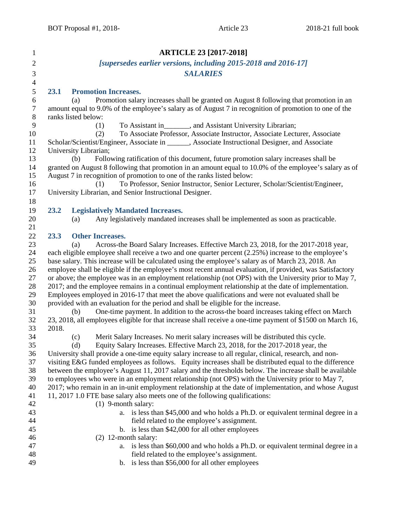| $\mathbf{1}$     | <b>ARTICLE 23 [2017-2018]</b>                                                                                                                                                                               |
|------------------|-------------------------------------------------------------------------------------------------------------------------------------------------------------------------------------------------------------|
| $\mathbf{2}$     | [supersedes earlier versions, including 2015-2018 and 2016-17]                                                                                                                                              |
| $\mathfrak{Z}$   | <b>SALARIES</b>                                                                                                                                                                                             |
| $\overline{4}$   |                                                                                                                                                                                                             |
| $\mathfrak s$    | 23.1<br><b>Promotion Increases.</b>                                                                                                                                                                         |
| $\sqrt{6}$       | Promotion salary increases shall be granted on August 8 following that promotion in an<br>(a)                                                                                                               |
| $\boldsymbol{7}$ | amount equal to 9.0% of the employee's salary as of August 7 in recognition of promotion to one of the                                                                                                      |
| $8\,$            | ranks listed below:                                                                                                                                                                                         |
| 9                | To Assistant in ________, and Assistant University Librarian;<br>(1)                                                                                                                                        |
| 10               | To Associate Professor, Associate Instructor, Associate Lecturer, Associate<br>(2)                                                                                                                          |
| 11               | Scholar/Scientist/Engineer, Associate in ______, Associate Instructional Designer, and Associate                                                                                                            |
| 12               | University Librarian;                                                                                                                                                                                       |
| 13               | Following ratification of this document, future promotion salary increases shall be<br>(b)                                                                                                                  |
| 14               | granted on August 8 following that promotion in an amount equal to 10.0% of the employee's salary as of                                                                                                     |
| 15               | August 7 in recognition of promotion to one of the ranks listed below:                                                                                                                                      |
| 16               | To Professor, Senior Instructor, Senior Lecturer, Scholar/Scientist/Engineer,<br>(1)                                                                                                                        |
| 17               | University Librarian, and Senior Instructional Designer.                                                                                                                                                    |
| 18               |                                                                                                                                                                                                             |
| 19               | 23.2<br><b>Legislatively Mandated Increases.</b>                                                                                                                                                            |
| 20               | Any legislatively mandated increases shall be implemented as soon as practicable.<br>(a)                                                                                                                    |
| 21               | 23.3                                                                                                                                                                                                        |
| 22<br>23         | <b>Other Increases.</b><br>Across-the Board Salary Increases. Effective March 23, 2018, for the 2017-2018 year,<br>(a)                                                                                      |
| 24               | each eligible employee shall receive a two and one quarter percent (2.25%) increase to the employee's                                                                                                       |
| 25               | base salary. This increase will be calculated using the employee's salary as of March 23, 2018. An                                                                                                          |
| 26               | employee shall be eligible if the employee's most recent annual evaluation, if provided, was Satisfactory                                                                                                   |
| 27               | or above; the employee was in an employment relationship (not OPS) with the University prior to May 7,                                                                                                      |
| 28               | 2017; and the employee remains in a continual employment relationship at the date of implementation.                                                                                                        |
| 29               | Employees employed in 2016-17 that meet the above qualifications and were not evaluated shall be                                                                                                            |
| 30               | provided with an evaluation for the period and shall be eligible for the increase.                                                                                                                          |
| 31               | One-time payment. In addition to the across-the board increases taking effect on March<br>(b)                                                                                                               |
| 32               | 23, 2018, all employees eligible for that increase shall receive a one-time payment of \$1500 on March 16,                                                                                                  |
| 33               | 2018.                                                                                                                                                                                                       |
| 34               | Merit Salary Increases. No merit salary increases will be distributed this cycle.<br>(c)                                                                                                                    |
| 35               | Equity Salary Increases. Effective March 23, 2018, for the 2017-2018 year, the<br>(d)                                                                                                                       |
| 36               | University shall provide a one-time equity salary increase to all regular, clinical, research, and non-                                                                                                     |
| 37               | visiting E&G funded employees as follows. Equity increases shall be distributed equal to the difference                                                                                                     |
| 38               | between the employee's August 11, 2017 salary and the thresholds below. The increase shall be available                                                                                                     |
| 39<br>40         | to employees who were in an employment relationship (not OPS) with the University prior to May 7,<br>2017; who remain in an in-unit employment relationship at the date of implementation, and whose August |
| 41               | 11, 2017 1.0 FTE base salary also meets one of the following qualifications:                                                                                                                                |
| 42               | $(1)$ 9-month salary:                                                                                                                                                                                       |
| 43               | a. is less than \$45,000 and who holds a Ph.D. or equivalent terminal degree in a                                                                                                                           |
| 44               | field related to the employee's assignment.                                                                                                                                                                 |
| 45               | b. is less than \$42,000 for all other employees                                                                                                                                                            |
| 46               | $(2)$ 12-month salary:                                                                                                                                                                                      |
| 47               | a. is less than \$60,000 and who holds a Ph.D. or equivalent terminal degree in a                                                                                                                           |
| 48               | field related to the employee's assignment.                                                                                                                                                                 |
| 49               | b. is less than \$56,000 for all other employees                                                                                                                                                            |
|                  |                                                                                                                                                                                                             |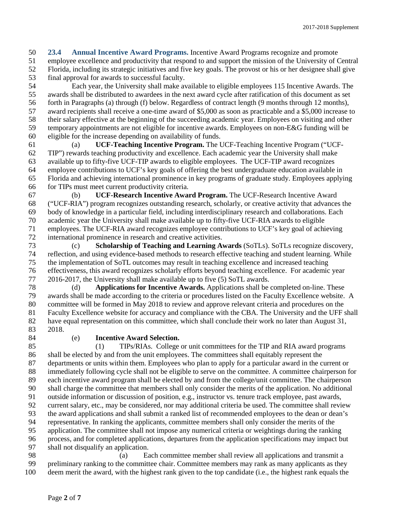**23.4 Annual Incentive Award Programs.** Incentive Award Programs recognize and promote employee excellence and productivity that respond to and support the mission of the University of Central Florida, including its strategic initiatives and five key goals. The provost or his or her designee shall give final approval for awards to successful faculty.

 Each year, the University shall make available to eligible employees 115 Incentive Awards. The awards shall be distributed to awardees in the next award cycle after ratification of this document as set forth in Paragraphs (a) through (f) below. Regardless of contract length (9 months through 12 months), award recipients shall receive a one-time award of \$5,000 as soon as practicable and a \$5,000 increase to their salary effective at the beginning of the succeeding academic year. Employees on visiting and other temporary appointments are not eligible for incentive awards. Employees on non-E&G funding will be eligible for the increase depending on availability of funds.

 (a) **UCF-Teaching Incentive Program.** The UCF-Teaching Incentive Program ("UCF- TIP") rewards teaching productivity and excellence. Each academic year the University shall make available up to fifty-five UCF-TIP awards to eligible employees. The UCF-TIP award recognizes employee contributions to UCF's key goals of offering the best undergraduate education available in Florida and achieving international prominence in key programs of graduate study. Employees applying for TIPs must meet current productivity criteria.

 (b) **UCF-Research Incentive Award Program.** The UCF-Research Incentive Award ("UCF-RIA") program recognizes outstanding research, scholarly, or creative activity that advances the body of knowledge in a particular field, including interdisciplinary research and collaborations. Each academic year the University shall make available up to fifty-five UCF-RIA awards to eligible employees. The UCF-RIA award recognizes employee contributions to UCF's key goal of achieving international prominence in research and creative activities.

 (c) **Scholarship of Teaching and Learning Awards** (SoTLs). SoTLs recognize discovery, reflection, and using evidence-based methods to research effective teaching and student learning. While the implementation of SoTL outcomes may result in teaching excellence and increased teaching effectiveness, this award recognizes scholarly efforts beyond teaching excellence. For academic year 2016-2017, the University shall make available up to five (5) SoTL awards.

 (d) **Applications for Incentive Awards.** Applications shall be completed on-line. These awards shall be made according to the criteria or procedures listed on the Faculty Excellence website. A committee will be formed in May 2018 to review and approve relevant criteria and procedures on the Faculty Excellence website for accuracy and compliance with the CBA. The University and the UFF shall have equal representation on this committee, which shall conclude their work no later than August 31, 2018.

## (e) **Incentive Award Selection.**

 (1) TIPs/RIAs. College or unit committees for the TIP and RIA award programs shall be elected by and from the unit employees. The committees shall equitably represent the departments or units within them. Employees who plan to apply for a particular award in the current or immediately following cycle shall not be eligible to serve on the committee. A committee chairperson for each incentive award program shall be elected by and from the college/unit committee. The chairperson shall charge the committee that members shall only consider the merits of the application. No additional outside information or discussion of position, e.g., instructor vs. tenure track employee, past awards, current salary, etc., may be considered, nor may additional criteria be used. The committee shall review the award applications and shall submit a ranked list of recommended employees to the dean or dean's representative. In ranking the applicants, committee members shall only consider the merits of the application. The committee shall not impose any numerical criteria or weightings during the ranking process, and for completed applications, departures from the application specifications may impact but shall not disqualify an application.

 (a) Each committee member shall review all applications and transmit a preliminary ranking to the committee chair. Committee members may rank as many applicants as they deem merit the award, with the highest rank given to the top candidate (i.e., the highest rank equals the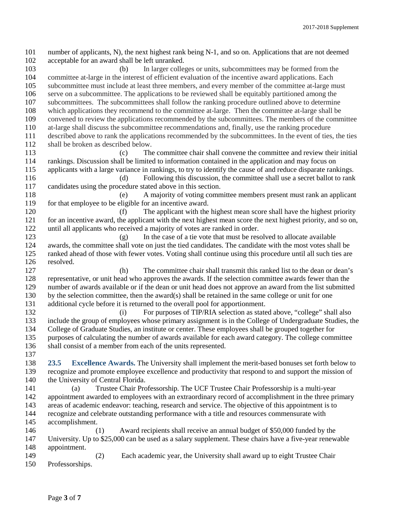number of applicants, N), the next highest rank being N-1, and so on. Applications that are not deemed acceptable for an award shall be left unranked. (b) In larger colleges or units, subcommittees may be formed from the committee at-large in the interest of efficient evaluation of the incentive award applications. Each subcommittee must include at least three members, and every member of the committee at-large must serve on a subcommittee. The applications to be reviewed shall be equitably partitioned among the subcommittees. The subcommittees shall follow the ranking procedure outlined above to determine which applications they recommend to the committee at-large. Then the committee at-large shall be convened to review the applications recommended by the subcommittees. The members of the committee at-large shall discuss the subcommittee recommendations and, finally, use the ranking procedure described above to rank the applications recommended by the subcommittees. In the event of ties, the ties shall be broken as described below. (c) The committee chair shall convene the committee and review their initial rankings. Discussion shall be limited to information contained in the application and may focus on applicants with a large variance in rankings, to try to identify the cause of and reduce disparate rankings. (d) Following this discussion, the committee shall use a secret ballot to rank candidates using the procedure stated above in this section. (e) A majority of voting committee members present must rank an applicant 119 for that employee to be eligible for an incentive award. 120 (f) The applicant with the highest mean score shall have the highest priority<br>121 for an incentive award, the applicant with the next highest mean score the next highest priority, and so on, for an incentive award, the applicant with the next highest mean score the next highest priority, and so on, until all applicants who received a majority of votes are ranked in order. (g) In the case of a tie vote that must be resolved to allocate available awards, the committee shall vote on just the tied candidates. The candidate with the most votes shall be ranked ahead of those with fewer votes. Voting shall continue using this procedure until all such ties are resolved. (h) The committee chair shall transmit this ranked list to the dean or dean's representative, or unit head who approves the awards. If the selection committee awards fewer than the number of awards available or if the dean or unit head does not approve an award from the list submitted by the selection committee, then the award(s) shall be retained in the same college or unit for one additional cycle before it is returned to the overall pool for apportionment. (i) For purposes of TIP/RIA selection as stated above, "college" shall also include the group of employees whose primary assignment is in the College of Undergraduate Studies, the College of Graduate Studies, an institute or center. These employees shall be grouped together for purposes of calculating the number of awards available for each award category. The college committee shall consist of a member from each of the units represented. **23.5 Excellence Awards.** The University shall implement the merit-based bonuses set forth below to recognize and promote employee excellence and productivity that respond to and support the mission of 140 the University of Central Florida. (a) Trustee Chair Professorship. The UCF Trustee Chair Professorship is a multi-year appointment awarded to employees with an extraordinary record of accomplishment in the three primary areas of academic endeavor: teaching, research and service. The objective of this appointment is to recognize and celebrate outstanding performance with a title and resources commensurate with accomplishment. (1) Award recipients shall receive an annual budget of \$50,000 funded by the University. Up to \$25,000 can be used as a salary supplement. These chairs have a five-year renewable appointment. (2) Each academic year, the University shall award up to eight Trustee Chair Professorships.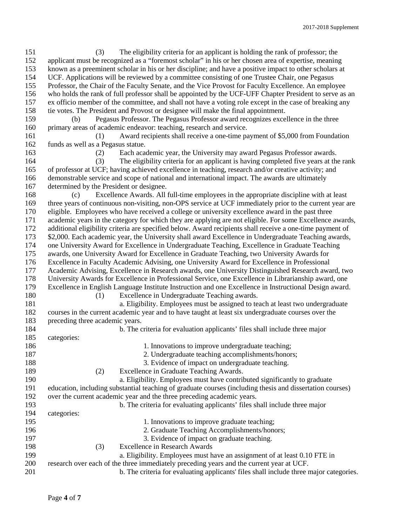(3) The eligibility criteria for an applicant is holding the rank of professor; the applicant must be recognized as a "foremost scholar" in his or her chosen area of expertise, meaning known as a preeminent scholar in his or her discipline; and have a positive impact to other scholars at UCF. Applications will be reviewed by a committee consisting of one Trustee Chair, one Pegasus Professor, the Chair of the Faculty Senate, and the Vice Provost for Faculty Excellence. An employee who holds the rank of full professor shall be appointed by the UCF-UFF Chapter President to serve as an ex officio member of the committee, and shall not have a voting role except in the case of breaking any tie votes. The President and Provost or designee will make the final appointment. (b) Pegasus Professor. The Pegasus Professor award recognizes excellence in the three primary areas of academic endeavor: teaching, research and service. (1) Award recipients shall receive a one-time payment of \$5,000 from Foundation funds as well as a Pegasus statue. (2) Each academic year, the University may award Pegasus Professor awards. (3) The eligibility criteria for an applicant is having completed five years at the rank of professor at UCF; having achieved excellence in teaching, research and/or creative activity; and demonstrable service and scope of national and international impact. The awards are ultimately determined by the President or designee. (c) Excellence Awards. All full-time employees in the appropriate discipline with at least three years of continuous non-visiting, non-OPS service at UCF immediately prior to the current year are eligible. Employees who have received a college or university excellence award in the past three academic years in the category for which they are applying are not eligible. For some Excellence awards, additional eligibility criteria are specified below. Award recipients shall receive a one-time payment of \$2,000. Each academic year, the University shall award Excellence in Undergraduate Teaching awards, one University Award for Excellence in Undergraduate Teaching, Excellence in Graduate Teaching awards, one University Award for Excellence in Graduate Teaching, two University Awards for Excellence in Faculty Academic Advising, one University Award for Excellence in Professional Academic Advising, Excellence in Research awards, one University Distinguished Research award, two University Awards for Excellence in Professional Service, one Excellence in Librarianship award, one Excellence in English Language Institute Instruction and one Excellence in Instructional Design award. (1) Excellence in Undergraduate Teaching awards. a. Eligibility. Employees must be assigned to teach at least two undergraduate courses in the current academic year and to have taught at least six undergraduate courses over the preceding three academic years. b. The criteria for evaluation applicants' files shall include three major categories: 186 1. Innovations to improve undergraduate teaching; 2. Undergraduate teaching accomplishments/honors; 3. Evidence of impact on undergraduate teaching. (2) Excellence in Graduate Teaching Awards. a. Eligibility. Employees must have contributed significantly to graduate education, including substantial teaching of graduate courses (including thesis and dissertation courses) over the current academic year and the three preceding academic years. b. The criteria for evaluating applicants' files shall include three major categories: 195 1. Innovations to improve graduate teaching; 2. Graduate Teaching Accomplishments/honors; 3. Evidence of impact on graduate teaching. (3) Excellence in Research Awards a. Eligibility. Employees must have an assignment of at least 0.10 FTE in research over each of the three immediately preceding years and the current year at UCF. b. The criteria for evaluating applicants' files shall include three major categories.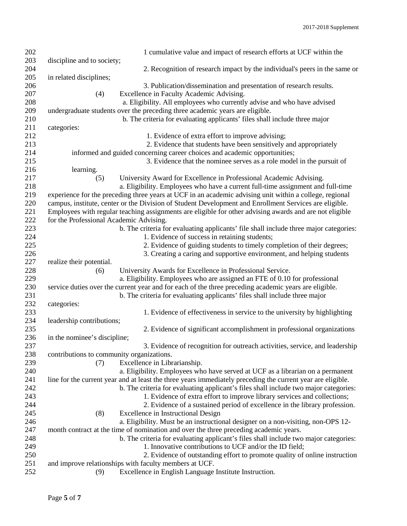| 202 | 1 cumulative value and impact of research efforts at UCF within the                                         |
|-----|-------------------------------------------------------------------------------------------------------------|
| 203 | discipline and to society;                                                                                  |
| 204 | 2. Recognition of research impact by the individual's peers in the same or                                  |
| 205 | in related disciplines;                                                                                     |
| 206 | 3. Publication/dissemination and presentation of research results.                                          |
| 207 | (4)<br>Excellence in Faculty Academic Advising.                                                             |
| 208 | a. Eligibility. All employees who currently advise and who have advised                                     |
| 209 | undergraduate students over the preceding three academic years are eligible.                                |
| 210 | b. The criteria for evaluating applicants' files shall include three major                                  |
| 211 | categories:                                                                                                 |
| 212 | 1. Evidence of extra effort to improve advising;                                                            |
| 213 | 2. Evidence that students have been sensitively and appropriately                                           |
| 214 | informed and guided concerning career choices and academic opportunities;                                   |
| 215 | 3. Evidence that the nominee serves as a role model in the pursuit of                                       |
| 216 | learning.                                                                                                   |
| 217 | University Award for Excellence in Professional Academic Advising.<br>(5)                                   |
| 218 | a. Eligibility. Employees who have a current full-time assignment and full-time                             |
| 219 | experience for the preceding three years at UCF in an academic advising unit within a college, regional     |
| 220 | campus, institute, center or the Division of Student Development and Enrollment Services are eligible.      |
| 221 | Employees with regular teaching assignments are eligible for other advising awards and are not eligible     |
| 222 | for the Professional Academic Advising.                                                                     |
| 223 | b. The criteria for evaluating applicants' file shall include three major categories:                       |
| 224 | 1. Evidence of success in retaining students;                                                               |
| 225 | 2. Evidence of guiding students to timely completion of their degrees;                                      |
| 226 | 3. Creating a caring and supportive environment, and helping students                                       |
| 227 | realize their potential.                                                                                    |
| 228 | University Awards for Excellence in Professional Service.<br>(6)                                            |
| 229 | a. Eligibility. Employees who are assigned an FTE of 0.10 for professional                                  |
| 230 | service duties over the current year and for each of the three preceding academic years are eligible.       |
| 231 | b. The criteria for evaluating applicants' files shall include three major                                  |
| 232 | categories:                                                                                                 |
| 233 | 1. Evidence of effectiveness in service to the university by highlighting                                   |
| 234 | leadership contributions;                                                                                   |
| 235 | 2. Evidence of significant accomplishment in professional organizations                                     |
| 236 | in the nominee's discipline;                                                                                |
| 237 | 3. Evidence of recognition for outreach activities, service, and leadership                                 |
| 238 | contributions to community organizations.                                                                   |
| 239 | Excellence in Librarianship.<br>(7)                                                                         |
| 240 | a. Eligibility. Employees who have served at UCF as a librarian on a permanent                              |
| 241 | line for the current year and at least the three years immediately preceding the current year are eligible. |
| 242 | b. The criteria for evaluating applicant's files shall include two major categories:                        |
| 243 | 1. Evidence of extra effort to improve library services and collections;                                    |
| 244 | 2. Evidence of a sustained period of excellence in the library profession.                                  |
| 245 | Excellence in Instructional Design<br>(8)                                                                   |
| 246 | a. Eligibility. Must be an instructional designer on a non-visiting, non-OPS 12-                            |
| 247 | month contract at the time of nomination and over the three preceding academic years.                       |
| 248 | b. The criteria for evaluating applicant's files shall include two major categories:                        |
| 249 | 1. Innovative contributions to UCF and/or the ID field;                                                     |
| 250 | 2. Evidence of outstanding effort to promote quality of online instruction                                  |
| 251 | and improve relationships with faculty members at UCF.                                                      |
| 252 | Excellence in English Language Institute Instruction.<br>(9)                                                |
|     |                                                                                                             |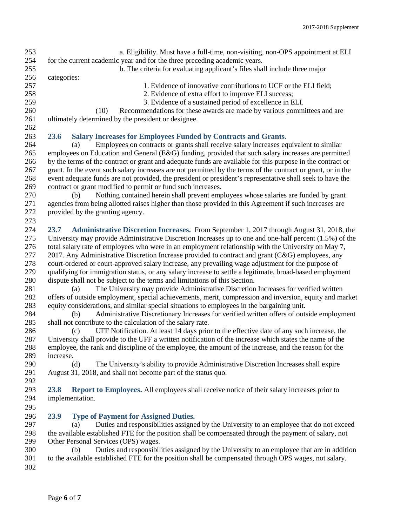| 253<br>254<br>255 | a. Eligibility. Must have a full-time, non-visiting, non-OPS appointment at ELI<br>for the current academic year and for the three preceding academic years.<br>b. The criteria for evaluating applicant's files shall include three major |
|-------------------|--------------------------------------------------------------------------------------------------------------------------------------------------------------------------------------------------------------------------------------------|
| 256               | categories:                                                                                                                                                                                                                                |
| 257<br>258<br>259 | 1. Evidence of innovative contributions to UCF or the ELI field;<br>2. Evidence of extra effort to improve ELI success;<br>3. Evidence of a sustained period of excellence in ELI.                                                         |
| 260               | Recommendations for these awards are made by various committees and are<br>(10)                                                                                                                                                            |
| 261               | ultimately determined by the president or designee.                                                                                                                                                                                        |
| 262               |                                                                                                                                                                                                                                            |
| 263               | 23.6<br><b>Salary Increases for Employees Funded by Contracts and Grants.</b>                                                                                                                                                              |
| 264               | Employees on contracts or grants shall receive salary increases equivalent to similar<br>(a)                                                                                                                                               |
| 265               | employees on Education and General (E&G) funding, provided that such salary increases are permitted                                                                                                                                        |
| 266               | by the terms of the contract or grant and adequate funds are available for this purpose in the contract or                                                                                                                                 |
| 267               | grant. In the event such salary increases are not permitted by the terms of the contract or grant, or in the                                                                                                                               |
| 268               | event adequate funds are not provided, the president or president's representative shall seek to have the                                                                                                                                  |
| 269               | contract or grant modified to permit or fund such increases.                                                                                                                                                                               |
| 270               | Nothing contained herein shall prevent employees whose salaries are funded by grant<br>(b)                                                                                                                                                 |
| 271<br>272        | agencies from being allotted raises higher than those provided in this Agreement if such increases are<br>provided by the granting agency.                                                                                                 |
| 273               |                                                                                                                                                                                                                                            |
| 274               | 23.7<br>Administrative Discretion Increases. From September 1, 2017 through August 31, 2018, the                                                                                                                                           |
| 275               | University may provide Administrative Discretion Increases up to one and one-half percent (1.5%) of the                                                                                                                                    |
| 276               | total salary rate of employees who were in an employment relationship with the University on May 7,                                                                                                                                        |
| 277               | 2017. Any Administrative Discretion Increase provided to contract and grant (C&G) employees, any                                                                                                                                           |
| 278               | court-ordered or court-approved salary increase, any prevailing wage adjustment for the purpose of                                                                                                                                         |
| 279<br>280        | qualifying for immigration status, or any salary increase to settle a legitimate, broad-based employment<br>dispute shall not be subject to the terms and limitations of this Section.                                                     |
| 281               | The University may provide Administrative Discretion Increases for verified written<br>(a)                                                                                                                                                 |
| 282               | offers of outside employment, special achievements, merit, compression and inversion, equity and market                                                                                                                                    |
| 283               | equity considerations, and similar special situations to employees in the bargaining unit.                                                                                                                                                 |
| 284               | Administrative Discretionary Increases for verified written offers of outside employment<br>(b)                                                                                                                                            |
| 285               | shall not contribute to the calculation of the salary rate.                                                                                                                                                                                |
| 286               | UFF Notification. At least 14 days prior to the effective date of any such increase, the<br>(c)                                                                                                                                            |
| 287               | University shall provide to the UFF a written notification of the increase which states the name of the                                                                                                                                    |
| 288               | employee, the rank and discipline of the employee, the amount of the increase, and the reason for the                                                                                                                                      |
| 289<br>290        | increase.<br>The University's ability to provide Administrative Discretion Increases shall expire<br>(d)                                                                                                                                   |
| 291               | August 31, 2018, and shall not become part of the status quo.                                                                                                                                                                              |
| 292               |                                                                                                                                                                                                                                            |
| 293               | 23.8<br>Report to Employees. All employees shall receive notice of their salary increases prior to                                                                                                                                         |
| 294               | implementation.                                                                                                                                                                                                                            |
| 295               |                                                                                                                                                                                                                                            |
| 296               | 23.9<br><b>Type of Payment for Assigned Duties.</b>                                                                                                                                                                                        |
| 297               | Duties and responsibilities assigned by the University to an employee that do not exceed<br>(a)                                                                                                                                            |
| 298               | the available established FTE for the position shall be compensated through the payment of salary, not                                                                                                                                     |
| 299               | Other Personal Services (OPS) wages.                                                                                                                                                                                                       |
| 300               | Duties and responsibilities assigned by the University to an employee that are in addition<br>(b)                                                                                                                                          |
| 301               | to the available established FTE for the position shall be compensated through OPS wages, not salary.                                                                                                                                      |
| 302               |                                                                                                                                                                                                                                            |